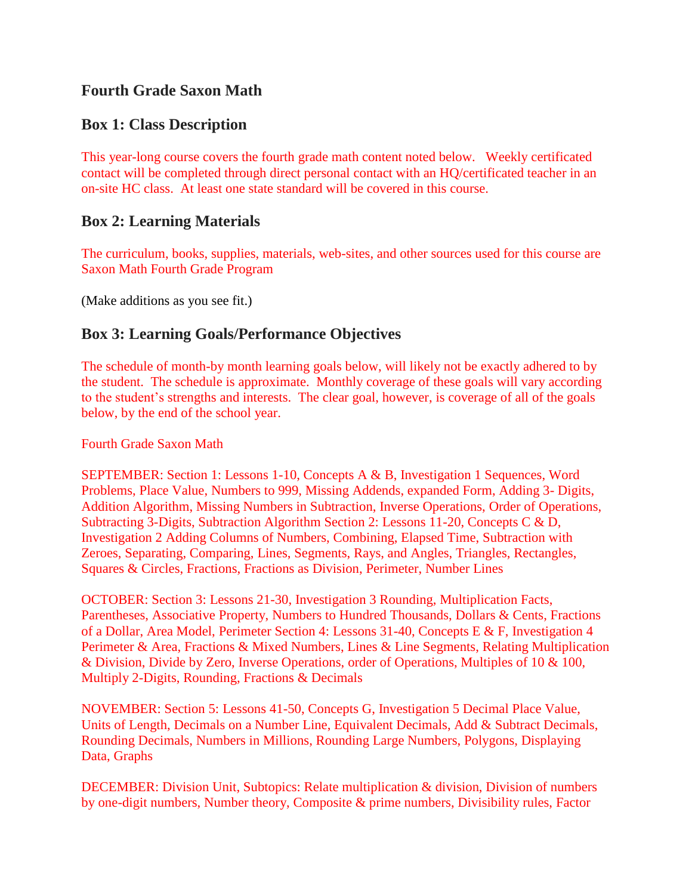# **Fourth Grade Saxon Math**

## **Box 1: Class Description**

This year-long course covers the fourth grade math content noted below. Weekly certificated contact will be completed through direct personal contact with an HQ/certificated teacher in an on-site HC class. At least one state standard will be covered in this course.

#### **Box 2: Learning Materials**

The curriculum, books, supplies, materials, web-sites, and other sources used for this course are Saxon Math Fourth Grade Program

(Make additions as you see fit.)

# **Box 3: Learning Goals/Performance Objectives**

The schedule of month-by month learning goals below, will likely not be exactly adhered to by the student. The schedule is approximate. Monthly coverage of these goals will vary according to the student's strengths and interests. The clear goal, however, is coverage of all of the goals below, by the end of the school year.

Fourth Grade Saxon Math

SEPTEMBER: Section 1: Lessons 1-10, Concepts A & B, Investigation 1 Sequences, Word Problems, Place Value, Numbers to 999, Missing Addends, expanded Form, Adding 3- Digits, Addition Algorithm, Missing Numbers in Subtraction, Inverse Operations, Order of Operations, Subtracting 3-Digits, Subtraction Algorithm Section 2: Lessons 11-20, Concepts C & D, Investigation 2 Adding Columns of Numbers, Combining, Elapsed Time, Subtraction with Zeroes, Separating, Comparing, Lines, Segments, Rays, and Angles, Triangles, Rectangles, Squares & Circles, Fractions, Fractions as Division, Perimeter, Number Lines

OCTOBER: Section 3: Lessons 21-30, Investigation 3 Rounding, Multiplication Facts, Parentheses, Associative Property, Numbers to Hundred Thousands, Dollars & Cents, Fractions of a Dollar, Area Model, Perimeter Section 4: Lessons 31-40, Concepts E & F, Investigation 4 Perimeter & Area, Fractions & Mixed Numbers, Lines & Line Segments, Relating Multiplication & Division, Divide by Zero, Inverse Operations, order of Operations, Multiples of 10 & 100, Multiply 2-Digits, Rounding, Fractions & Decimals

NOVEMBER: Section 5: Lessons 41-50, Concepts G, Investigation 5 Decimal Place Value, Units of Length, Decimals on a Number Line, Equivalent Decimals, Add & Subtract Decimals, Rounding Decimals, Numbers in Millions, Rounding Large Numbers, Polygons, Displaying Data, Graphs

DECEMBER: Division Unit, Subtopics: Relate multiplication & division, Division of numbers by one-digit numbers, Number theory, Composite & prime numbers, Divisibility rules, Factor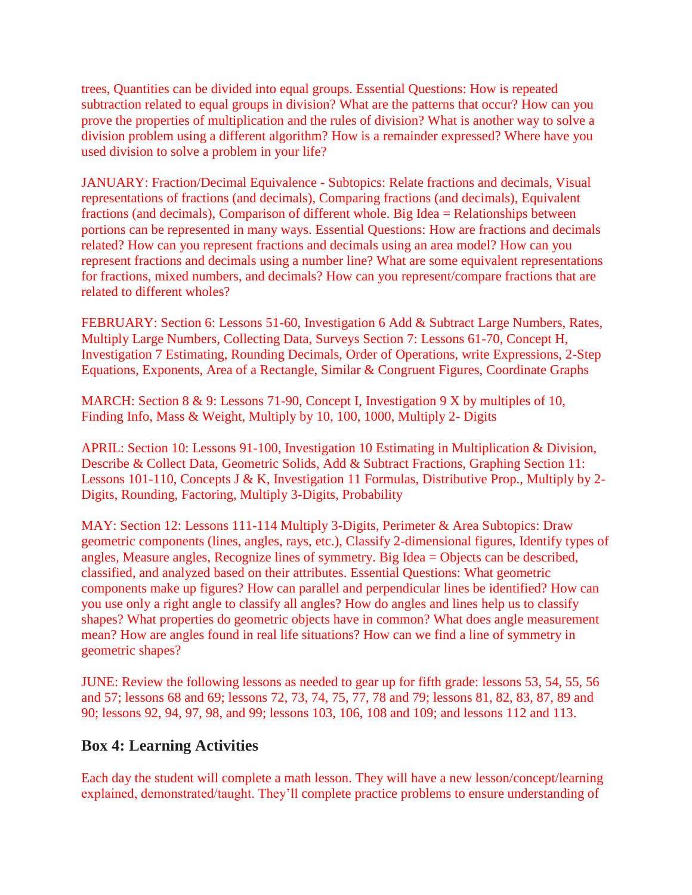trees, Quantities can be divided into equal groups. Essential Questions: How is repeated subtraction related to equal groups in division? What are the patterns that occur? How can you prove the properties of multiplication and the rules of division? What is another way to solve a division problem using a different algorithm? How is a remainder expressed? Where have you used division to solve a problem in your life?

JANUARY: Fraction/Decimal Equivalence - Subtopics: Relate fractions and decimals, Visual representations of fractions (and decimals), Comparing fractions (and decimals), Equivalent fractions (and decimals), Comparison of different whole. Big Idea = Relationships between portions can be represented in many ways. Essential Questions: How are fractions and decimals related? How can you represent fractions and decimals using an area model? How can you represent fractions and decimals using a number line? What are some equivalent representations for fractions, mixed numbers, and decimals? How can you represent/compare fractions that are related to different wholes?

FEBRUARY: Section 6: Lessons 51-60, Investigation 6 Add & Subtract Large Numbers, Rates, Multiply Large Numbers, Collecting Data, Surveys Section 7: Lessons 61-70, Concept H, Investigation 7 Estimating, Rounding Decimals, Order of Operations, write Expressions, 2-Step Equations, Exponents, Area of a Rectangle, Similar & Congruent Figures, Coordinate Graphs

MARCH: Section 8 & 9: Lessons 71-90, Concept I, Investigation 9 X by multiples of 10, Finding Info, Mass & Weight, Multiply by 10, 100, 1000, Multiply 2- Digits

APRIL: Section 10: Lessons 91-100, Investigation 10 Estimating in Multiplication & Division, Describe & Collect Data, Geometric Solids, Add & Subtract Fractions, Graphing Section 11: Lessons 101-110, Concepts J & K, Investigation 11 Formulas, Distributive Prop., Multiply by 2- Digits, Rounding, Factoring, Multiply 3-Digits, Probability

MAY: Section 12: Lessons 111-114 Multiply 3-Digits, Perimeter & Area Subtopics: Draw geometric components (lines, angles, rays, etc.), Classify 2-dimensional figures, Identify types of angles, Measure angles, Recognize lines of symmetry. Big Idea = Objects can be described, classified, and analyzed based on their attributes. Essential Questions: What geometric components make up figures? How can parallel and perpendicular lines be identified? How can you use only a right angle to classify all angles? How do angles and lines help us to classify shapes? What properties do geometric objects have in common? What does angle measurement mean? How are angles found in real life situations? How can we find a line of symmetry in geometric shapes?

JUNE: Review the following lessons as needed to gear up for fifth grade: lessons 53, 54, 55, 56 and 57; lessons 68 and 69; lessons 72, 73, 74, 75, 77, 78 and 79; lessons 81, 82, 83, 87, 89 and 90; lessons 92, 94, 97, 98, and 99; lessons 103, 106, 108 and 109; and lessons 112 and 113.

#### **Box 4: Learning Activities**

Each day the student will complete a math lesson. They will have a new lesson/concept/learning explained, demonstrated/taught. They'll complete practice problems to ensure understanding of